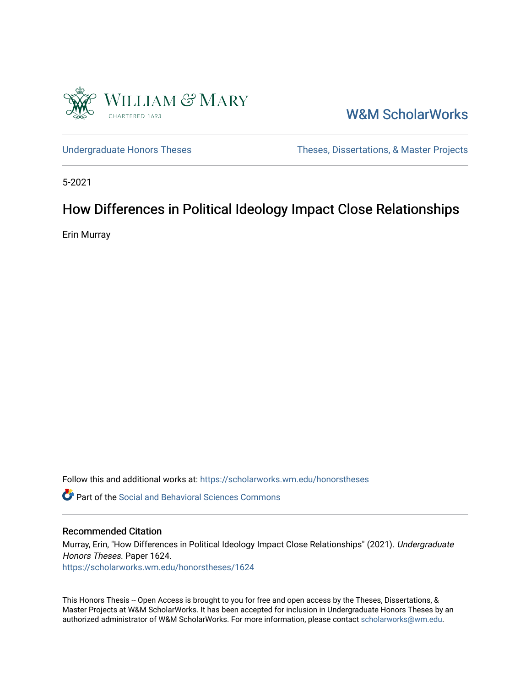

[W&M ScholarWorks](https://scholarworks.wm.edu/) 

[Undergraduate Honors Theses](https://scholarworks.wm.edu/honorstheses) Theses Theses, Dissertations, & Master Projects

5-2021

# How Differences in Political Ideology Impact Close Relationships

Erin Murray

Follow this and additional works at: [https://scholarworks.wm.edu/honorstheses](https://scholarworks.wm.edu/honorstheses?utm_source=scholarworks.wm.edu%2Fhonorstheses%2F1624&utm_medium=PDF&utm_campaign=PDFCoverPages) 

**C** Part of the Social and Behavioral Sciences Commons

# Recommended Citation

Murray, Erin, "How Differences in Political Ideology Impact Close Relationships" (2021). Undergraduate Honors Theses. Paper 1624. [https://scholarworks.wm.edu/honorstheses/1624](https://scholarworks.wm.edu/honorstheses/1624?utm_source=scholarworks.wm.edu%2Fhonorstheses%2F1624&utm_medium=PDF&utm_campaign=PDFCoverPages)

This Honors Thesis -- Open Access is brought to you for free and open access by the Theses, Dissertations, & Master Projects at W&M ScholarWorks. It has been accepted for inclusion in Undergraduate Honors Theses by an authorized administrator of W&M ScholarWorks. For more information, please contact [scholarworks@wm.edu](mailto:scholarworks@wm.edu).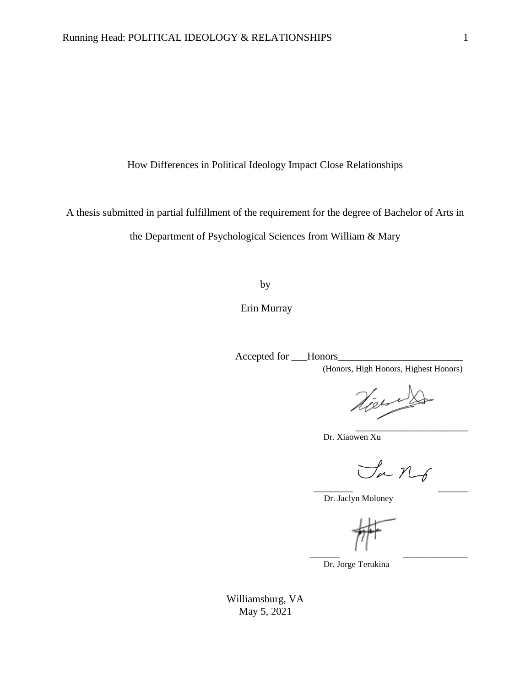How Differences in Political Ideology Impact Close Relationships

A thesis submitted in partial fulfillment of the requirement for the degree of Bachelor of Arts in

the Department of Psychological Sciences from William & Mary

by

Erin Murray

Accepted for \_\_\_Honors\_\_\_\_\_\_\_\_\_\_\_\_\_\_\_\_\_\_\_\_\_\_\_\_

(Honors, High Honors, Highest Honors)

Viet

\_\_\_\_\_\_\_\_\_\_\_\_\_\_\_\_\_\_\_\_\_\_\_\_\_\_

Dr. Xiaowen Xu

Sa No \_\_\_\_\_\_\_\_\_ \_\_\_\_\_\_\_

Dr. Jaclyn Moloney

\_\_\_\_\_\_\_ \_\_\_\_\_\_\_\_\_\_\_\_\_\_\_

Dr. Jorge Terukina

Williamsburg, VA May 5, 2021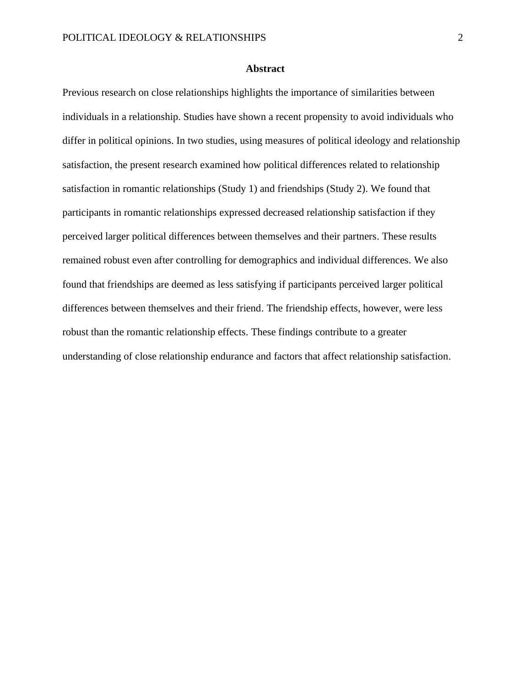## **Abstract**

Previous research on close relationships highlights the importance of similarities between individuals in a relationship. Studies have shown a recent propensity to avoid individuals who differ in political opinions. In two studies, using measures of political ideology and relationship satisfaction, the present research examined how political differences related to relationship satisfaction in romantic relationships (Study 1) and friendships (Study 2). We found that participants in romantic relationships expressed decreased relationship satisfaction if they perceived larger political differences between themselves and their partners. These results remained robust even after controlling for demographics and individual differences. We also found that friendships are deemed as less satisfying if participants perceived larger political differences between themselves and their friend. The friendship effects, however, were less robust than the romantic relationship effects. These findings contribute to a greater understanding of close relationship endurance and factors that affect relationship satisfaction.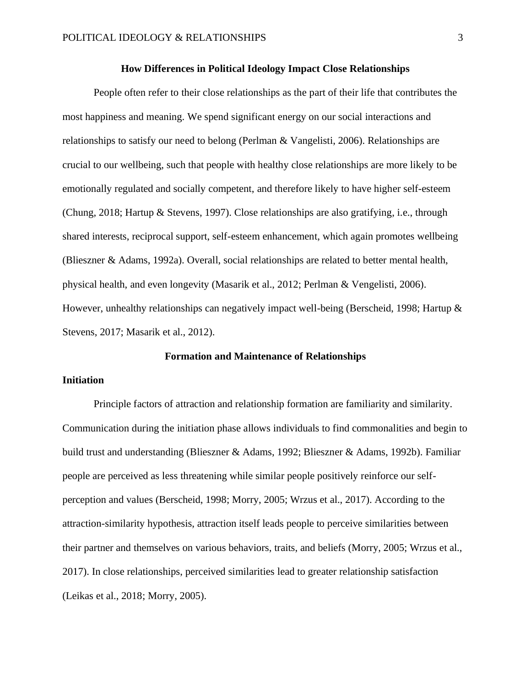## **How Differences in Political Ideology Impact Close Relationships**

People often refer to their close relationships as the part of their life that contributes the most happiness and meaning. We spend significant energy on our social interactions and relationships to satisfy our need to belong (Perlman & Vangelisti, 2006). Relationships are crucial to our wellbeing, such that people with healthy close relationships are more likely to be emotionally regulated and socially competent, and therefore likely to have higher self-esteem (Chung, 2018; Hartup & Stevens, 1997). Close relationships are also gratifying, i.e., through shared interests, reciprocal support, self-esteem enhancement, which again promotes wellbeing (Blieszner & Adams, 1992a). Overall, social relationships are related to better mental health, physical health, and even longevity (Masarik et al., 2012; Perlman & Vengelisti, 2006). However, unhealthy relationships can negatively impact well-being (Berscheid, 1998; Hartup & Stevens, 2017; Masarik et al., 2012).

#### **Formation and Maintenance of Relationships**

## **Initiation**

Principle factors of attraction and relationship formation are familiarity and similarity. Communication during the initiation phase allows individuals to find commonalities and begin to build trust and understanding (Blieszner & Adams, 1992; Blieszner & Adams, 1992b). Familiar people are perceived as less threatening while similar people positively reinforce our selfperception and values (Berscheid, 1998; Morry, 2005; Wrzus et al., 2017). According to the attraction-similarity hypothesis, attraction itself leads people to perceive similarities between their partner and themselves on various behaviors, traits, and beliefs (Morry, 2005; Wrzus et al., 2017). In close relationships, perceived similarities lead to greater relationship satisfaction (Leikas et al., 2018; Morry, 2005).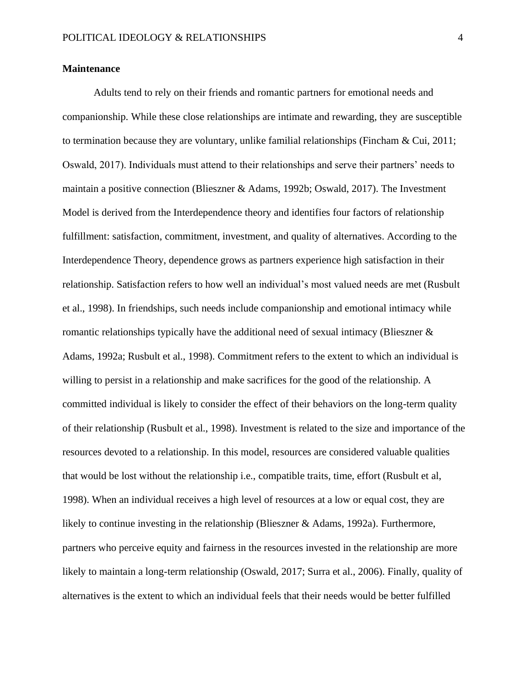## **Maintenance**

Adults tend to rely on their friends and romantic partners for emotional needs and companionship. While these close relationships are intimate and rewarding, they are susceptible to termination because they are voluntary, unlike familial relationships (Fincham & Cui, 2011; Oswald, 2017). Individuals must attend to their relationships and serve their partners' needs to maintain a positive connection (Blieszner & Adams, 1992b; Oswald, 2017). The Investment Model is derived from the Interdependence theory and identifies four factors of relationship fulfillment: satisfaction, commitment, investment, and quality of alternatives. According to the Interdependence Theory, dependence grows as partners experience high satisfaction in their relationship. Satisfaction refers to how well an individual's most valued needs are met (Rusbult et al., 1998). In friendships, such needs include companionship and emotional intimacy while romantic relationships typically have the additional need of sexual intimacy (Blieszner & Adams, 1992a; Rusbult et al., 1998). Commitment refers to the extent to which an individual is willing to persist in a relationship and make sacrifices for the good of the relationship. A committed individual is likely to consider the effect of their behaviors on the long-term quality of their relationship (Rusbult et al., 1998). Investment is related to the size and importance of the resources devoted to a relationship. In this model, resources are considered valuable qualities that would be lost without the relationship i.e., compatible traits, time, effort (Rusbult et al, 1998). When an individual receives a high level of resources at a low or equal cost, they are likely to continue investing in the relationship (Blieszner & Adams, 1992a). Furthermore, partners who perceive equity and fairness in the resources invested in the relationship are more likely to maintain a long-term relationship (Oswald, 2017; Surra et al., 2006). Finally, quality of alternatives is the extent to which an individual feels that their needs would be better fulfilled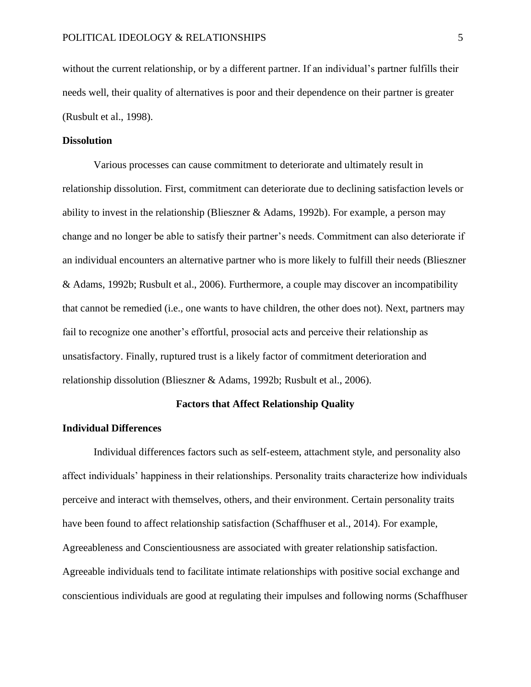without the current relationship, or by a different partner. If an individual's partner fulfills their needs well, their quality of alternatives is poor and their dependence on their partner is greater (Rusbult et al., 1998).

### **Dissolution**

Various processes can cause commitment to deteriorate and ultimately result in relationship dissolution. First, commitment can deteriorate due to declining satisfaction levels or ability to invest in the relationship (Blieszner & Adams, 1992b). For example, a person may change and no longer be able to satisfy their partner's needs. Commitment can also deteriorate if an individual encounters an alternative partner who is more likely to fulfill their needs (Blieszner & Adams, 1992b; Rusbult et al., 2006). Furthermore, a couple may discover an incompatibility that cannot be remedied (i.e., one wants to have children, the other does not). Next, partners may fail to recognize one another's effortful, prosocial acts and perceive their relationship as unsatisfactory. Finally, ruptured trust is a likely factor of commitment deterioration and relationship dissolution (Blieszner & Adams, 1992b; Rusbult et al., 2006).

#### **Factors that Affect Relationship Quality**

# **Individual Differences**

Individual differences factors such as self-esteem, attachment style, and personality also affect individuals' happiness in their relationships. Personality traits characterize how individuals perceive and interact with themselves, others, and their environment. Certain personality traits have been found to affect relationship satisfaction (Schaffhuser et al., 2014). For example, Agreeableness and Conscientiousness are associated with greater relationship satisfaction. Agreeable individuals tend to facilitate intimate relationships with positive social exchange and conscientious individuals are good at regulating their impulses and following norms (Schaffhuser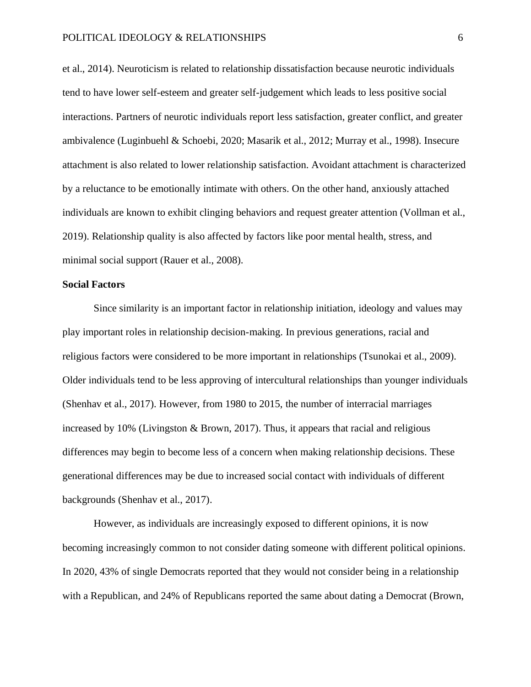et al., 2014). Neuroticism is related to relationship dissatisfaction because neurotic individuals tend to have lower self-esteem and greater self-judgement which leads to less positive social interactions. Partners of neurotic individuals report less satisfaction, greater conflict, and greater ambivalence (Luginbuehl & Schoebi, 2020; Masarik et al., 2012; Murray et al., 1998). Insecure attachment is also related to lower relationship satisfaction. Avoidant attachment is characterized by a reluctance to be emotionally intimate with others. On the other hand, anxiously attached individuals are known to exhibit clinging behaviors and request greater attention (Vollman et al., 2019). Relationship quality is also affected by factors like poor mental health, stress, and minimal social support (Rauer et al., 2008).

# **Social Factors**

Since similarity is an important factor in relationship initiation, ideology and values may play important roles in relationship decision-making. In previous generations, racial and religious factors were considered to be more important in relationships (Tsunokai et al., 2009). Older individuals tend to be less approving of intercultural relationships than younger individuals (Shenhav et al., 2017). However, from 1980 to 2015, the number of interracial marriages increased by 10% (Livingston  $\&$  Brown, 2017). Thus, it appears that racial and religious differences may begin to become less of a concern when making relationship decisions. These generational differences may be due to increased social contact with individuals of different backgrounds (Shenhav et al., 2017).

However, as individuals are increasingly exposed to different opinions, it is now becoming increasingly common to not consider dating someone with different political opinions. In 2020, 43% of single Democrats reported that they would not consider being in a relationship with a Republican, and 24% of Republicans reported the same about dating a Democrat (Brown,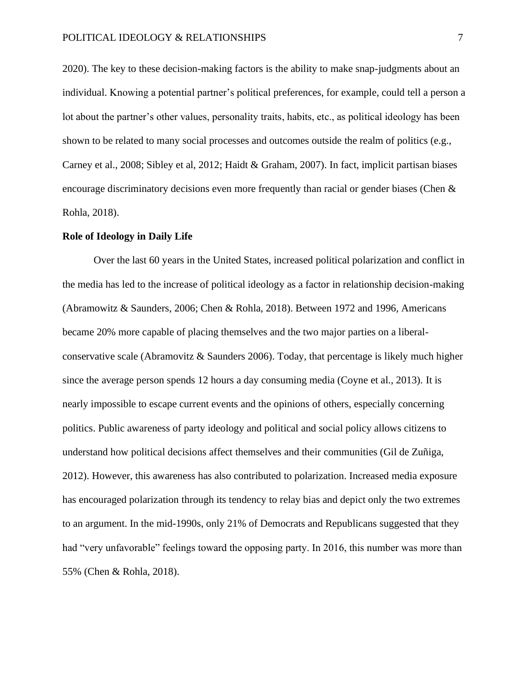2020). The key to these decision-making factors is the ability to make snap-judgments about an individual. Knowing a potential partner's political preferences, for example, could tell a person a lot about the partner's other values, personality traits, habits, etc., as political ideology has been shown to be related to many social processes and outcomes outside the realm of politics (e.g., Carney et al., 2008; Sibley et al, 2012; Haidt & Graham, 2007). In fact, implicit partisan biases encourage discriminatory decisions even more frequently than racial or gender biases (Chen & Rohla, 2018).

#### **Role of Ideology in Daily Life**

Over the last 60 years in the United States, increased political polarization and conflict in the media has led to the increase of political ideology as a factor in relationship decision-making (Abramowitz & Saunders, 2006; Chen & Rohla, 2018). Between 1972 and 1996, Americans became 20% more capable of placing themselves and the two major parties on a liberalconservative scale (Abramovitz & Saunders 2006). Today, that percentage is likely much higher since the average person spends 12 hours a day consuming media (Coyne et al., 2013). It is nearly impossible to escape current events and the opinions of others, especially concerning politics. Public awareness of party ideology and political and social policy allows citizens to understand how political decisions affect themselves and their communities (Gil de Zuñiga, 2012). However, this awareness has also contributed to polarization. Increased media exposure has encouraged polarization through its tendency to relay bias and depict only the two extremes to an argument. In the mid-1990s, only 21% of Democrats and Republicans suggested that they had "very unfavorable" feelings toward the opposing party. In 2016, this number was more than 55% (Chen & Rohla, 2018).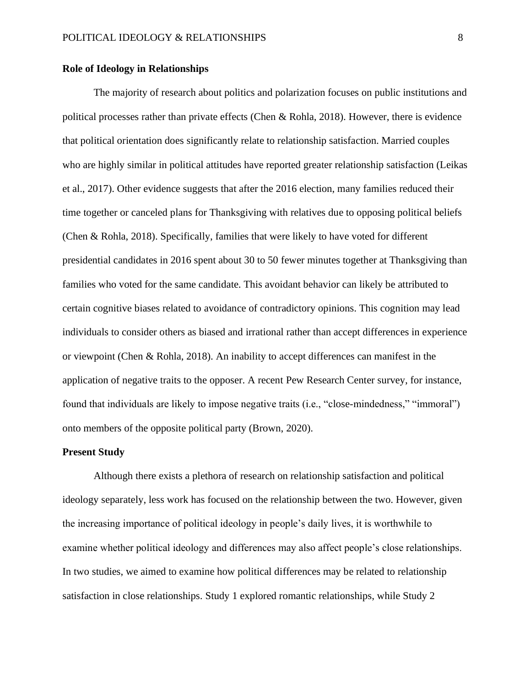# **Role of Ideology in Relationships**

The majority of research about politics and polarization focuses on public institutions and political processes rather than private effects (Chen & Rohla, 2018). However, there is evidence that political orientation does significantly relate to relationship satisfaction. Married couples who are highly similar in political attitudes have reported greater relationship satisfaction (Leikas et al., 2017). Other evidence suggests that after the 2016 election, many families reduced their time together or canceled plans for Thanksgiving with relatives due to opposing political beliefs (Chen & Rohla, 2018). Specifically, families that were likely to have voted for different presidential candidates in 2016 spent about 30 to 50 fewer minutes together at Thanksgiving than families who voted for the same candidate. This avoidant behavior can likely be attributed to certain cognitive biases related to avoidance of contradictory opinions. This cognition may lead individuals to consider others as biased and irrational rather than accept differences in experience or viewpoint (Chen & Rohla, 2018). An inability to accept differences can manifest in the application of negative traits to the opposer. A recent Pew Research Center survey, for instance, found that individuals are likely to impose negative traits (i.e., "close-mindedness," "immoral") onto members of the opposite political party (Brown, 2020).

# **Present Study**

Although there exists a plethora of research on relationship satisfaction and political ideology separately, less work has focused on the relationship between the two. However, given the increasing importance of political ideology in people's daily lives, it is worthwhile to examine whether political ideology and differences may also affect people's close relationships. In two studies, we aimed to examine how political differences may be related to relationship satisfaction in close relationships. Study 1 explored romantic relationships, while Study 2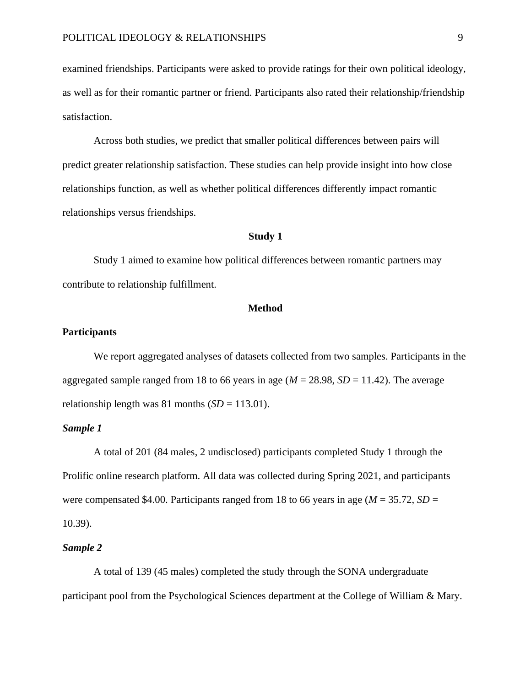examined friendships. Participants were asked to provide ratings for their own political ideology, as well as for their romantic partner or friend. Participants also rated their relationship/friendship satisfaction.

Across both studies, we predict that smaller political differences between pairs will predict greater relationship satisfaction. These studies can help provide insight into how close relationships function, as well as whether political differences differently impact romantic relationships versus friendships.

## **Study 1**

Study 1 aimed to examine how political differences between romantic partners may contribute to relationship fulfillment.

#### **Method**

## **Participants**

We report aggregated analyses of datasets collected from two samples. Participants in the aggregated sample ranged from 18 to 66 years in age (*M* = 28.98, *SD* = 11.42). The average relationship length was 81 months  $(SD = 113.01)$ .

### *Sample 1*

A total of 201 (84 males, 2 undisclosed) participants completed Study 1 through the Prolific online research platform. All data was collected during Spring 2021, and participants were compensated \$4.00. Participants ranged from 18 to 66 years in age ( $M = 35.72$ ,  $SD =$ 10.39).

## *Sample 2*

A total of 139 (45 males) completed the study through the SONA undergraduate participant pool from the Psychological Sciences department at the College of William & Mary.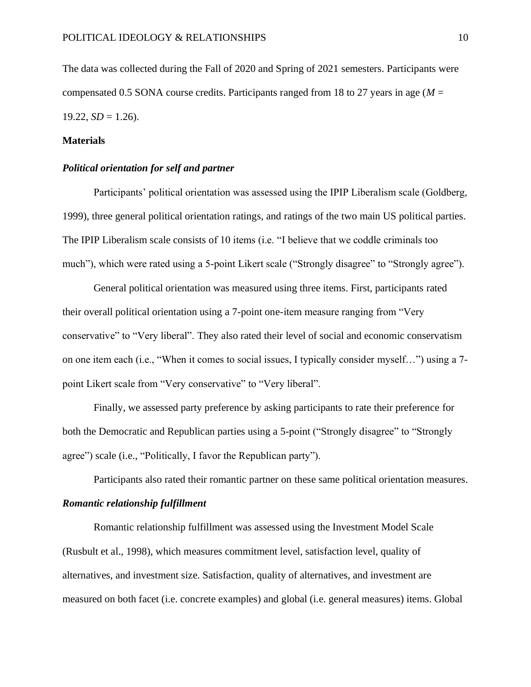The data was collected during the Fall of 2020 and Spring of 2021 semesters. Participants were compensated 0.5 SONA course credits. Participants ranged from 18 to 27 years in age (*M* =  $19.22, SD = 1.26$ .

# **Materials**

# *Political orientation for self and partner*

Participants' political orientation was assessed using the IPIP Liberalism scale (Goldberg, 1999), three general political orientation ratings, and ratings of the two main US political parties. The IPIP Liberalism scale consists of 10 items (i.e. "I believe that we coddle criminals too much"), which were rated using a 5-point Likert scale ("Strongly disagree" to "Strongly agree").

General political orientation was measured using three items. First, participants rated their overall political orientation using a 7-point one-item measure ranging from "Very conservative" to "Very liberal". They also rated their level of social and economic conservatism on one item each (i.e., "When it comes to social issues, I typically consider myself…") using a 7 point Likert scale from "Very conservative" to "Very liberal".

Finally, we assessed party preference by asking participants to rate their preference for both the Democratic and Republican parties using a 5-point ("Strongly disagree" to "Strongly agree") scale (i.e., "Politically, I favor the Republican party").

Participants also rated their romantic partner on these same political orientation measures.

# *Romantic relationship fulfillment*

Romantic relationship fulfillment was assessed using the Investment Model Scale (Rusbult et al., 1998), which measures commitment level, satisfaction level, quality of alternatives, and investment size. Satisfaction, quality of alternatives, and investment are measured on both facet (i.e. concrete examples) and global (i.e. general measures) items. Global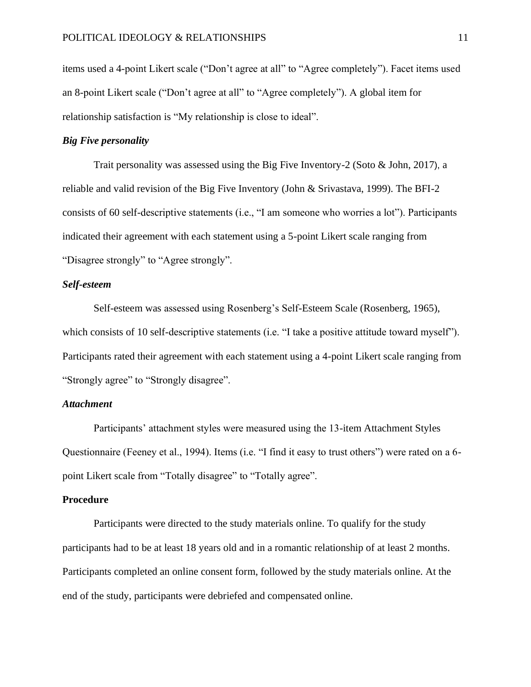items used a 4-point Likert scale ("Don't agree at all" to "Agree completely"). Facet items used an 8-point Likert scale ("Don't agree at all" to "Agree completely"). A global item for relationship satisfaction is "My relationship is close to ideal".

# *Big Five personality*

Trait personality was assessed using the Big Five Inventory-2 (Soto & John, 2017), a reliable and valid revision of the Big Five Inventory (John & Srivastava, 1999). The BFI-2 consists of 60 self-descriptive statements (i.e., "I am someone who worries a lot"). Participants indicated their agreement with each statement using a 5-point Likert scale ranging from "Disagree strongly" to "Agree strongly".

# *Self-esteem*

Self-esteem was assessed using Rosenberg's Self-Esteem Scale (Rosenberg, 1965), which consists of 10 self-descriptive statements (i.e. "I take a positive attitude toward myself"). Participants rated their agreement with each statement using a 4-point Likert scale ranging from "Strongly agree" to "Strongly disagree".

# *Attachment*

Participants' attachment styles were measured using the 13-item Attachment Styles Questionnaire (Feeney et al., 1994). Items (i.e. "I find it easy to trust others") were rated on a 6 point Likert scale from "Totally disagree" to "Totally agree".

#### **Procedure**

Participants were directed to the study materials online. To qualify for the study participants had to be at least 18 years old and in a romantic relationship of at least 2 months. Participants completed an online consent form, followed by the study materials online. At the end of the study, participants were debriefed and compensated online.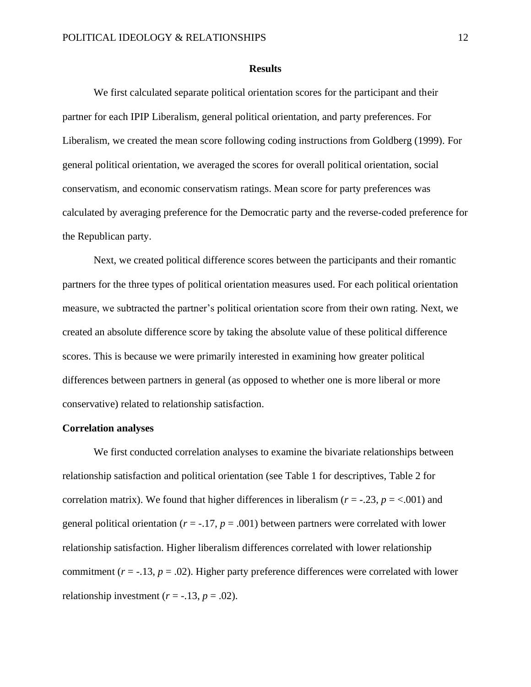#### **Results**

We first calculated separate political orientation scores for the participant and their partner for each IPIP Liberalism, general political orientation, and party preferences. For Liberalism, we created the mean score following coding instructions from Goldberg (1999). For general political orientation, we averaged the scores for overall political orientation, social conservatism, and economic conservatism ratings. Mean score for party preferences was calculated by averaging preference for the Democratic party and the reverse-coded preference for the Republican party.

Next, we created political difference scores between the participants and their romantic partners for the three types of political orientation measures used. For each political orientation measure, we subtracted the partner's political orientation score from their own rating. Next, we created an absolute difference score by taking the absolute value of these political difference scores. This is because we were primarily interested in examining how greater political differences between partners in general (as opposed to whether one is more liberal or more conservative) related to relationship satisfaction.

#### **Correlation analyses**

We first conducted correlation analyses to examine the bivariate relationships between relationship satisfaction and political orientation (see Table 1 for descriptives, Table 2 for correlation matrix). We found that higher differences in liberalism ( $r = -0.23$ ,  $p = <0.001$ ) and general political orientation ( $r = -17$ ,  $p = .001$ ) between partners were correlated with lower relationship satisfaction. Higher liberalism differences correlated with lower relationship commitment  $(r = -13, p = .02)$ . Higher party preference differences were correlated with lower relationship investment  $(r = -.13, p = .02)$ .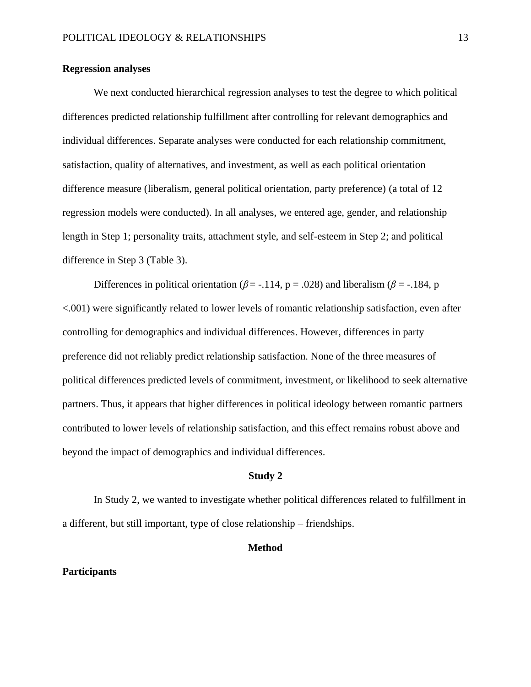# **Regression analyses**

We next conducted hierarchical regression analyses to test the degree to which political differences predicted relationship fulfillment after controlling for relevant demographics and individual differences. Separate analyses were conducted for each relationship commitment, satisfaction, quality of alternatives, and investment, as well as each political orientation difference measure (liberalism, general political orientation, party preference) (a total of 12 regression models were conducted). In all analyses, we entered age, gender, and relationship length in Step 1; personality traits, attachment style, and self-esteem in Step 2; and political difference in Step 3 (Table 3).

Differences in political orientation ( $\beta$  = -.114, p = .028) and liberalism ( $\beta$  = -.184, p <.001) were significantly related to lower levels of romantic relationship satisfaction, even after controlling for demographics and individual differences. However, differences in party preference did not reliably predict relationship satisfaction. None of the three measures of political differences predicted levels of commitment, investment, or likelihood to seek alternative partners. Thus, it appears that higher differences in political ideology between romantic partners contributed to lower levels of relationship satisfaction, and this effect remains robust above and beyond the impact of demographics and individual differences.

#### **Study 2**

In Study 2, we wanted to investigate whether political differences related to fulfillment in a different, but still important, type of close relationship – friendships.

#### **Method**

#### **Participants**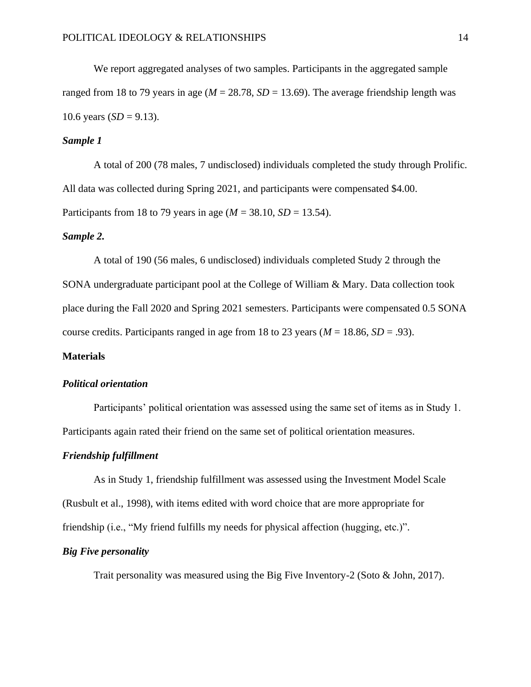We report aggregated analyses of two samples. Participants in the aggregated sample ranged from 18 to 79 years in age ( $M = 28.78$ ,  $SD = 13.69$ ). The average friendship length was 10.6 years  $(SD = 9.13)$ .

# *Sample 1*

A total of 200 (78 males, 7 undisclosed) individuals completed the study through Prolific. All data was collected during Spring 2021, and participants were compensated \$4.00. Participants from 18 to 79 years in age ( $M = 38.10$ ,  $SD = 13.54$ ).

## *Sample 2.*

A total of 190 (56 males, 6 undisclosed) individuals completed Study 2 through the SONA undergraduate participant pool at the College of William & Mary. Data collection took place during the Fall 2020 and Spring 2021 semesters. Participants were compensated 0.5 SONA course credits. Participants ranged in age from 18 to 23 years ( $M = 18.86$ ,  $SD = .93$ ).

## **Materials**

## *Political orientation*

Participants' political orientation was assessed using the same set of items as in Study 1. Participants again rated their friend on the same set of political orientation measures.

## *Friendship fulfillment*

As in Study 1, friendship fulfillment was assessed using the Investment Model Scale (Rusbult et al., 1998), with items edited with word choice that are more appropriate for friendship (i.e., "My friend fulfills my needs for physical affection (hugging, etc.)".

# *Big Five personality*

Trait personality was measured using the Big Five Inventory-2 (Soto & John, 2017).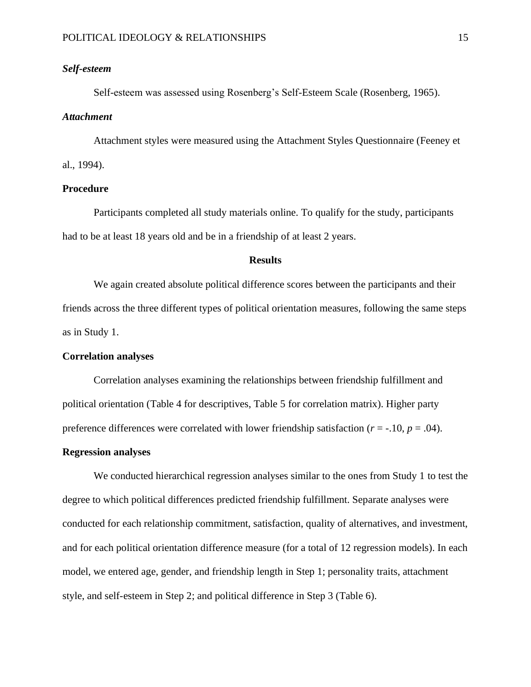# *Self-esteem*

Self-esteem was assessed using Rosenberg's Self-Esteem Scale (Rosenberg, 1965).

#### *Attachment*

Attachment styles were measured using the Attachment Styles Questionnaire (Feeney et al., 1994).

## **Procedure**

Participants completed all study materials online. To qualify for the study, participants had to be at least 18 years old and be in a friendship of at least 2 years.

## **Results**

We again created absolute political difference scores between the participants and their friends across the three different types of political orientation measures, following the same steps as in Study 1.

## **Correlation analyses**

Correlation analyses examining the relationships between friendship fulfillment and political orientation (Table 4 for descriptives, Table 5 for correlation matrix). Higher party preference differences were correlated with lower friendship satisfaction  $(r = -10, p = .04)$ .

# **Regression analyses**

We conducted hierarchical regression analyses similar to the ones from Study 1 to test the degree to which political differences predicted friendship fulfillment. Separate analyses were conducted for each relationship commitment, satisfaction, quality of alternatives, and investment, and for each political orientation difference measure (for a total of 12 regression models). In each model, we entered age, gender, and friendship length in Step 1; personality traits, attachment style, and self-esteem in Step 2; and political difference in Step 3 (Table 6).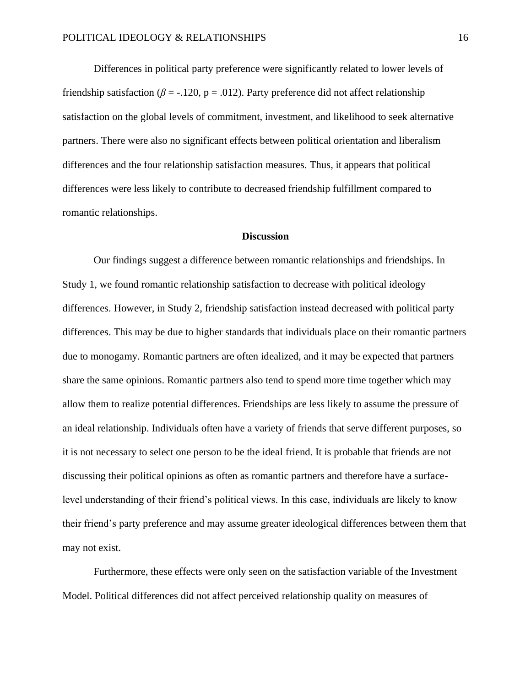Differences in political party preference were significantly related to lower levels of friendship satisfaction ( $\beta$  = -.120, p = .012). Party preference did not affect relationship satisfaction on the global levels of commitment, investment, and likelihood to seek alternative partners. There were also no significant effects between political orientation and liberalism differences and the four relationship satisfaction measures. Thus, it appears that political differences were less likely to contribute to decreased friendship fulfillment compared to romantic relationships.

#### **Discussion**

Our findings suggest a difference between romantic relationships and friendships. In Study 1, we found romantic relationship satisfaction to decrease with political ideology differences. However, in Study 2, friendship satisfaction instead decreased with political party differences. This may be due to higher standards that individuals place on their romantic partners due to monogamy. Romantic partners are often idealized, and it may be expected that partners share the same opinions. Romantic partners also tend to spend more time together which may allow them to realize potential differences. Friendships are less likely to assume the pressure of an ideal relationship. Individuals often have a variety of friends that serve different purposes, so it is not necessary to select one person to be the ideal friend. It is probable that friends are not discussing their political opinions as often as romantic partners and therefore have a surfacelevel understanding of their friend's political views. In this case, individuals are likely to know their friend's party preference and may assume greater ideological differences between them that may not exist.

Furthermore, these effects were only seen on the satisfaction variable of the Investment Model. Political differences did not affect perceived relationship quality on measures of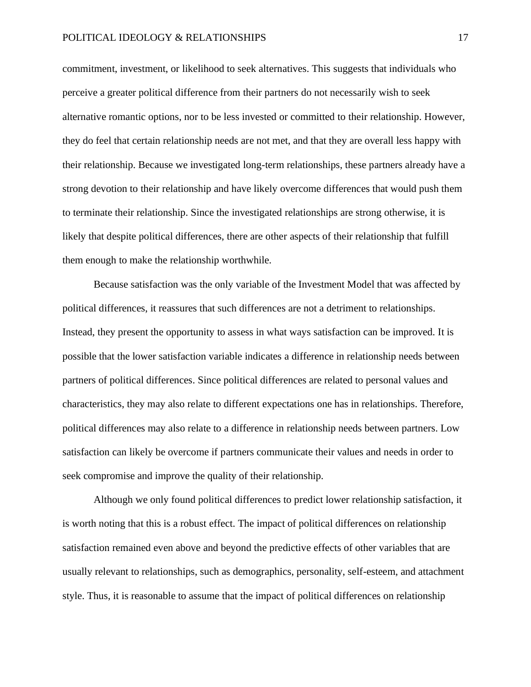commitment, investment, or likelihood to seek alternatives. This suggests that individuals who perceive a greater political difference from their partners do not necessarily wish to seek alternative romantic options, nor to be less invested or committed to their relationship. However, they do feel that certain relationship needs are not met, and that they are overall less happy with their relationship. Because we investigated long-term relationships, these partners already have a strong devotion to their relationship and have likely overcome differences that would push them to terminate their relationship. Since the investigated relationships are strong otherwise, it is likely that despite political differences, there are other aspects of their relationship that fulfill them enough to make the relationship worthwhile.

Because satisfaction was the only variable of the Investment Model that was affected by political differences, it reassures that such differences are not a detriment to relationships. Instead, they present the opportunity to assess in what ways satisfaction can be improved. It is possible that the lower satisfaction variable indicates a difference in relationship needs between partners of political differences. Since political differences are related to personal values and characteristics, they may also relate to different expectations one has in relationships. Therefore, political differences may also relate to a difference in relationship needs between partners. Low satisfaction can likely be overcome if partners communicate their values and needs in order to seek compromise and improve the quality of their relationship.

Although we only found political differences to predict lower relationship satisfaction, it is worth noting that this is a robust effect. The impact of political differences on relationship satisfaction remained even above and beyond the predictive effects of other variables that are usually relevant to relationships, such as demographics, personality, self-esteem, and attachment style. Thus, it is reasonable to assume that the impact of political differences on relationship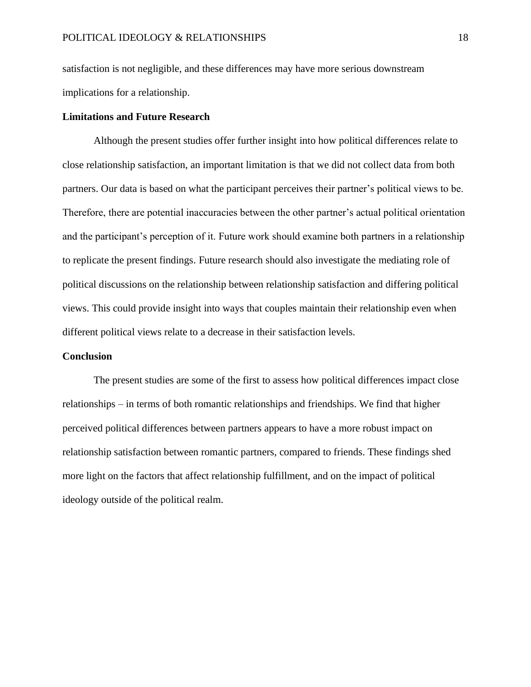satisfaction is not negligible, and these differences may have more serious downstream implications for a relationship.

## **Limitations and Future Research**

Although the present studies offer further insight into how political differences relate to close relationship satisfaction, an important limitation is that we did not collect data from both partners. Our data is based on what the participant perceives their partner's political views to be. Therefore, there are potential inaccuracies between the other partner's actual political orientation and the participant's perception of it. Future work should examine both partners in a relationship to replicate the present findings. Future research should also investigate the mediating role of political discussions on the relationship between relationship satisfaction and differing political views. This could provide insight into ways that couples maintain their relationship even when different political views relate to a decrease in their satisfaction levels.

## **Conclusion**

The present studies are some of the first to assess how political differences impact close relationships – in terms of both romantic relationships and friendships. We find that higher perceived political differences between partners appears to have a more robust impact on relationship satisfaction between romantic partners, compared to friends. These findings shed more light on the factors that affect relationship fulfillment, and on the impact of political ideology outside of the political realm.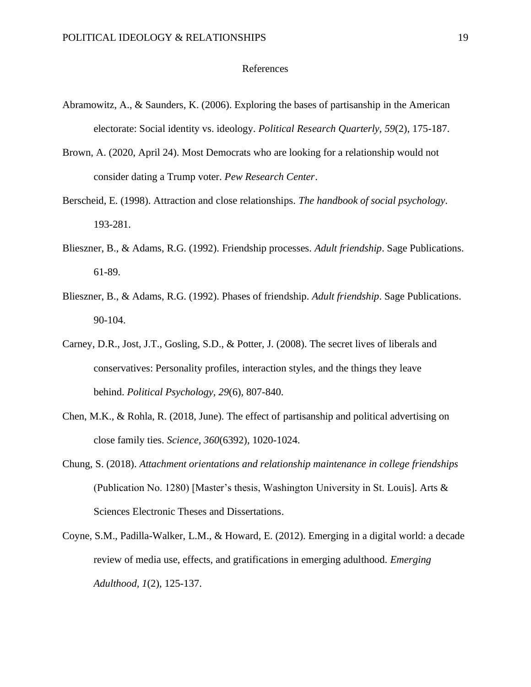## References

- Abramowitz, A., & Saunders, K. (2006). Exploring the bases of partisanship in the American electorate: Social identity vs. ideology. *Political Research Quarterly, 59*(2), 175-187.
- Brown, A. (2020, April 24). Most Democrats who are looking for a relationship would not consider dating a Trump voter. *Pew Research Center*.
- Berscheid, E. (1998). Attraction and close relationships. *The handbook of social psychology*. 193-281.
- Blieszner, B., & Adams, R.G. (1992). Friendship processes*. Adult friendship*. Sage Publications. 61-89.
- Blieszner, B., & Adams, R.G. (1992). Phases of friendship*. Adult friendship*. Sage Publications. 90-104.
- Carney, D.R., Jost, J.T., Gosling, S.D., & Potter, J. (2008). The secret lives of liberals and conservatives: Personality profiles, interaction styles, and the things they leave behind. *Political Psychology, 29*(6), 807-840.
- Chen, M.K., & Rohla, R. (2018, June). The effect of partisanship and political advertising on close family ties. *Science, 360*(6392)*,* 1020-1024.
- Chung, S. (2018). *Attachment orientations and relationship maintenance in college friendships* (Publication No. 1280) [Master's thesis, Washington University in St. Louis]. Arts & Sciences Electronic Theses and Dissertations.
- Coyne, S.M., Padilla-Walker, L.M., & Howard, E. (2012). Emerging in a digital world: a decade review of media use, effects, and gratifications in emerging adulthood. *Emerging Adulthood, 1*(2)*,* 125-137.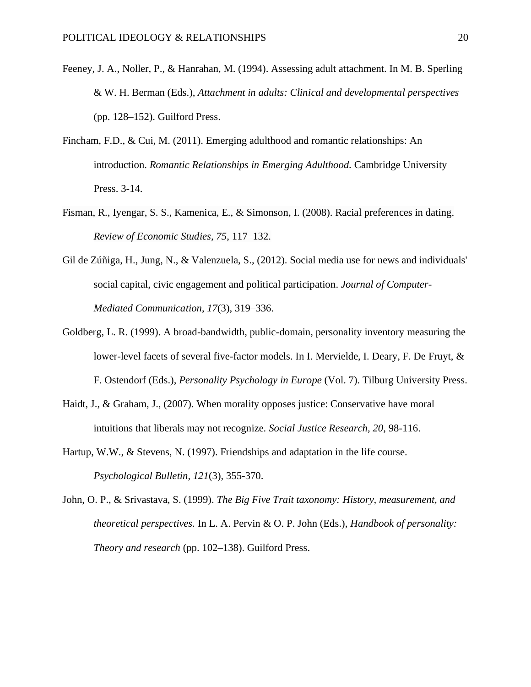- Feeney, J. A., Noller, P., & Hanrahan, M. (1994). Assessing adult attachment. In M. B. Sperling & W. H. Berman (Eds.), *Attachment in adults: Clinical and developmental perspectives* (pp. 128–152). Guilford Press.
- Fincham, F.D., & Cui, M. (2011). Emerging adulthood and romantic relationships: An introduction. *Romantic Relationships in Emerging Adulthood.* Cambridge University Press. 3-14.
- Fisman, R., Iyengar, S. S., Kamenica, E., & Simonson, I. (2008). Racial preferences in dating. *Review of Economic Studies, 75*, 117–132.
- Gil de Zúñiga, H., Jung, N., & Valenzuela, S., (2012). Social media use for news and individuals' social capital, civic engagement and political participation. *Journal of Computer-Mediated Communication*, *17*(3), 319–336.
- Goldberg, L. R. (1999). A broad-bandwidth, public-domain, personality inventory measuring the lower-level facets of several five-factor models. In I. Mervielde, I. Deary, F. De Fruyt, & F. Ostendorf (Eds.), *Personality Psychology in Europe* (Vol. 7). Tilburg University Press.
- Haidt, J., & Graham, J., (2007). When morality opposes justice: Conservative have moral intuitions that liberals may not recognize. *Social Justice Research, 20*, 98-116.
- Hartup, W.W., & Stevens, N. (1997). Friendships and adaptation in the life course. *Psychological Bulletin, 121*(3)*,* 355-370.
- John, O. P., & Srivastava, S. (1999). *The Big Five Trait taxonomy: History, measurement, and theoretical perspectives.* In L. A. Pervin & O. P. John (Eds.), *Handbook of personality: Theory and research* (pp. 102–138). Guilford Press.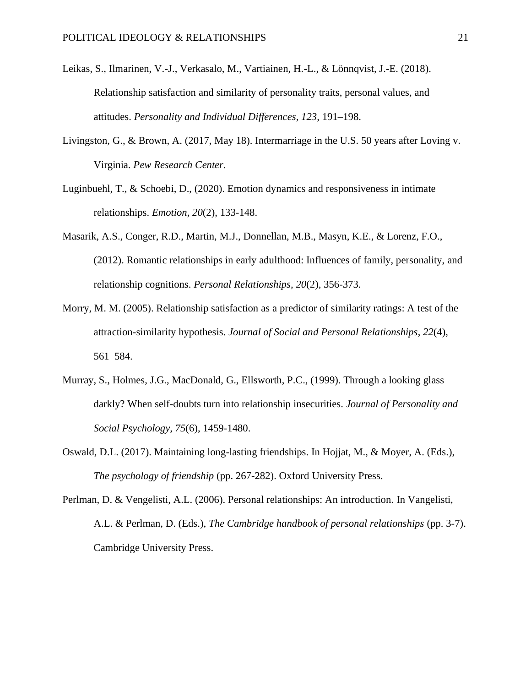- Leikas, S., Ilmarinen, V.-J., Verkasalo, M., Vartiainen, H.-L., & Lönnqvist, J.-E. (2018). Relationship satisfaction and similarity of personality traits, personal values, and attitudes. *Personality and Individual Differences, 123,* 191–198.
- Livingston, G., & Brown, A. (2017, May 18). Intermarriage in the U.S. 50 years after Loving v. Virginia. *Pew Research Center.*
- Luginbuehl, T., & Schoebi, D., (2020). Emotion dynamics and responsiveness in intimate relationships. *Emotion, 20*(2), 133-148.
- Masarik, A.S., Conger, R.D., Martin, M.J., Donnellan, M.B., Masyn, K.E., & Lorenz, F.O., (2012). Romantic relationships in early adulthood: Influences of family, personality, and relationship cognitions. *Personal Relationships, 20*(2)*,* 356-373.
- Morry, M. M. (2005). Relationship satisfaction as a predictor of similarity ratings: A test of the attraction-similarity hypothesis. *Journal of Social and Personal Relationships*, *22*(4), 561–584.
- Murray, S., Holmes, J.G., MacDonald, G., Ellsworth, P.C., (1999). Through a looking glass darkly? When self-doubts turn into relationship insecurities. *Journal of Personality and Social Psychology, 75*(6), 1459-1480.
- Oswald, D.L. (2017). Maintaining long-lasting friendships. In Hojjat, M., & Moyer, A. (Eds.), *The psychology of friendship* (pp. 267-282). Oxford University Press.
- Perlman, D. & Vengelisti, A.L. (2006). Personal relationships: An introduction. In Vangelisti, A.L. & Perlman, D. (Eds.), *The Cambridge handbook of personal relationships* (pp. 3-7). Cambridge University Press.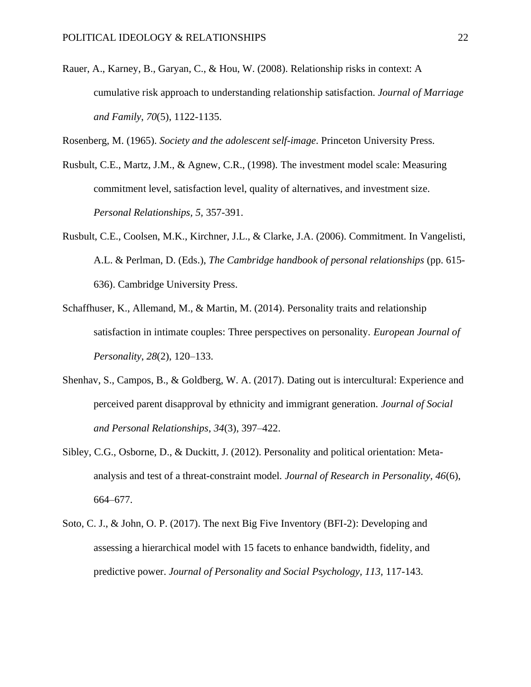Rauer, A., Karney, B., Garyan, C., & Hou, W. (2008). Relationship risks in context: A cumulative risk approach to understanding relationship satisfaction. *Journal of Marriage and Family*, *70*(5), 1122-1135.

Rosenberg, M. (1965). *Society and the adolescent self-image*. Princeton University Press.

- Rusbult, C.E., Martz, J.M., & Agnew, C.R., (1998). The investment model scale: Measuring commitment level, satisfaction level, quality of alternatives, and investment size. *Personal Relationships, 5,* 357-391.
- Rusbult, C.E., Coolsen, M.K., Kirchner, J.L., & Clarke, J.A. (2006). Commitment. In Vangelisti, A.L. & Perlman, D. (Eds.), *The Cambridge handbook of personal relationships* (pp. 615- 636). Cambridge University Press.
- Schaffhuser, K., Allemand, M., & Martin, M. (2014). Personality traits and relationship satisfaction in intimate couples: Three perspectives on personality. *European Journal of Personality*, *28*(2), 120–133.
- Shenhav, S., Campos, B., & Goldberg, W. A. (2017). Dating out is intercultural: Experience and perceived parent disapproval by ethnicity and immigrant generation. *Journal of Social and Personal Relationships*, *34*(3), 397–422.
- Sibley, C.G., Osborne, D., & Duckitt, J. (2012). Personality and political orientation: Metaanalysis and test of a threat-constraint model. *Journal of Research in Personality, 46*(6), 664–677.
- Soto, C. J., & John, O. P. (2017). The next Big Five Inventory (BFI-2): Developing and assessing a hierarchical model with 15 facets to enhance bandwidth, fidelity, and predictive power. *Journal of Personality and Social Psychology, 113,* 117-143.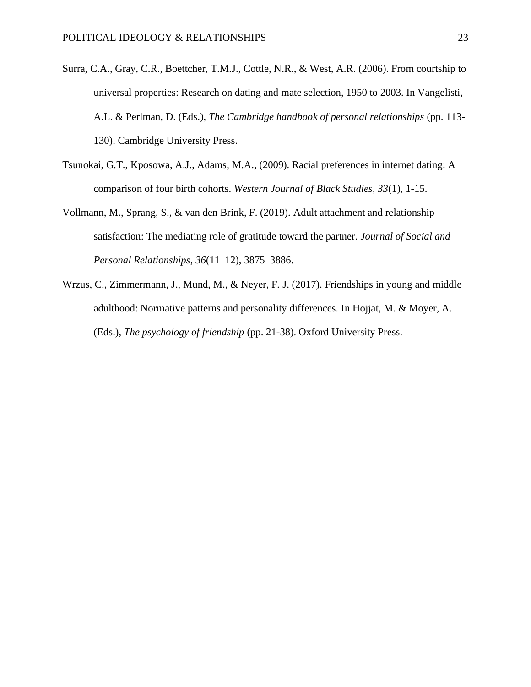- Surra, C.A., Gray, C.R., Boettcher, T.M.J., Cottle, N.R., & West, A.R. (2006). From courtship to universal properties: Research on dating and mate selection, 1950 to 2003. In Vangelisti, A.L. & Perlman, D. (Eds.), *The Cambridge handbook of personal relationships* (pp. 113- 130). Cambridge University Press.
- Tsunokai, G.T., Kposowa, A.J., Adams, M.A., (2009). Racial preferences in internet dating: A comparison of four birth cohorts. *Western Journal of Black Studies, 33*(1), 1-15.
- Vollmann, M., Sprang, S., & van den Brink, F. (2019). Adult attachment and relationship satisfaction: The mediating role of gratitude toward the partner. *Journal of Social and Personal Relationships*, *36*(11–12), 3875–3886.
- Wrzus, C., Zimmermann, J., Mund, M., & Neyer, F. J. (2017). Friendships in young and middle adulthood: Normative patterns and personality differences. In Hojjat, M. & Moyer, A. (Eds.), *The psychology of friendship* (pp. 21-38). Oxford University Press.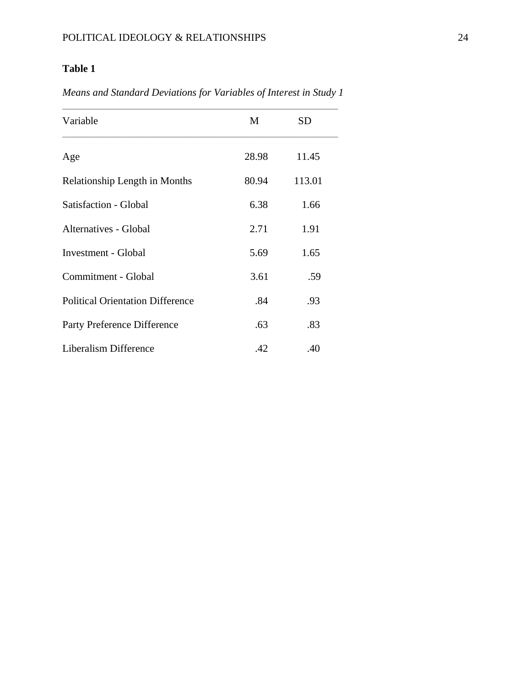# **Table 1**

*Means and Standard Deviations for Variables of Interest in Study 1*

| Variable                                | M     | <b>SD</b> |  |
|-----------------------------------------|-------|-----------|--|
| Age                                     | 28.98 | 11.45     |  |
| Relationship Length in Months           | 80.94 | 113.01    |  |
| Satisfaction - Global                   | 6.38  | 1.66      |  |
| Alternatives - Global                   | 2.71  | 1.91      |  |
| <b>Investment - Global</b>              | 5.69  | 1.65      |  |
| Commitment - Global                     | 3.61  | .59       |  |
| <b>Political Orientation Difference</b> | .84   | .93       |  |
| Party Preference Difference             | .63   | .83       |  |
| Liberalism Difference                   | .42   | .40       |  |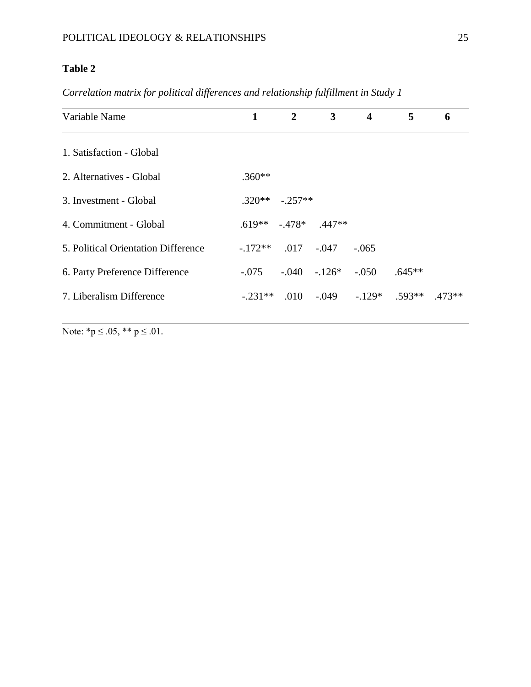# **Table 2**

*Correlation matrix for political differences and relationship fulfillment in Study 1* 

| Variable Name                       | 1         | $\overline{2}$ | $\mathbf{3}$               | $\overline{\mathbf{4}}$                   | 5        | 6 |
|-------------------------------------|-----------|----------------|----------------------------|-------------------------------------------|----------|---|
| 1. Satisfaction - Global            |           |                |                            |                                           |          |   |
| 2. Alternatives - Global            | $.360**$  |                |                            |                                           |          |   |
| 3. Investment - Global              | $.320**$  | $-.257**$      |                            |                                           |          |   |
| 4. Commitment - Global              |           |                | $.619**$ $-.478*$ $.447**$ |                                           |          |   |
| 5. Political Orientation Difference | $-172**$  |                | $.017 - .047$              | $-.065$                                   |          |   |
| 6. Party Preference Difference      | $-.075$   |                | $-.040-.126*$              | $-.050$                                   | $.645**$ |   |
| 7. Liberalism Difference            | $-.231**$ |                |                            | $.010$ $-.049$ $-.129*$ $.593**$ $.473**$ |          |   |
|                                     |           |                |                            |                                           |          |   |

Note:  $*_{p} \leq .05$ ,  $**$   $p \leq .01$ .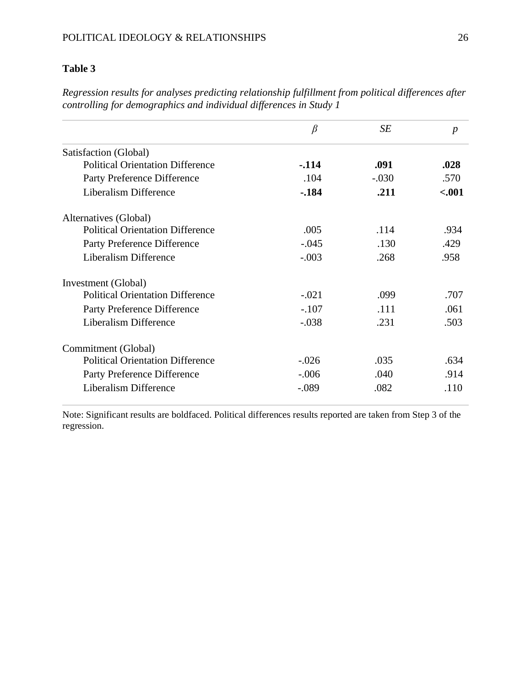# POLITICAL IDEOLOGY & RELATIONSHIPS 26

# **Table 3**

|                                         | $\beta$ | SЕ      | $\boldsymbol{p}$ |
|-----------------------------------------|---------|---------|------------------|
| Satisfaction (Global)                   |         |         |                  |
| <b>Political Orientation Difference</b> | $-.114$ | .091    | .028             |
| Party Preference Difference             | .104    | $-.030$ | .570             |
| Liberalism Difference                   | $-184$  | .211    | $-.001$          |
| Alternatives (Global)                   |         |         |                  |
| <b>Political Orientation Difference</b> | .005    | .114    | .934             |
| Party Preference Difference             | $-.045$ | .130    | .429             |
| Liberalism Difference                   | $-.003$ | .268    | .958             |
| Investment (Global)                     |         |         |                  |
| <b>Political Orientation Difference</b> | $-.021$ | .099    | .707             |
| Party Preference Difference             | $-.107$ | .111    | .061             |
| Liberalism Difference                   | $-.038$ | .231    | .503             |
| Commitment (Global)                     |         |         |                  |
| <b>Political Orientation Difference</b> | $-.026$ | .035    | .634             |
| Party Preference Difference             | $-.006$ | .040    | .914             |
| Liberalism Difference                   | $-.089$ | .082    | .110             |

*Regression results for analyses predicting relationship fulfillment from political differences after controlling for demographics and individual differences in Study 1*

Note: Significant results are boldfaced. Political differences results reported are taken from Step 3 of the regression.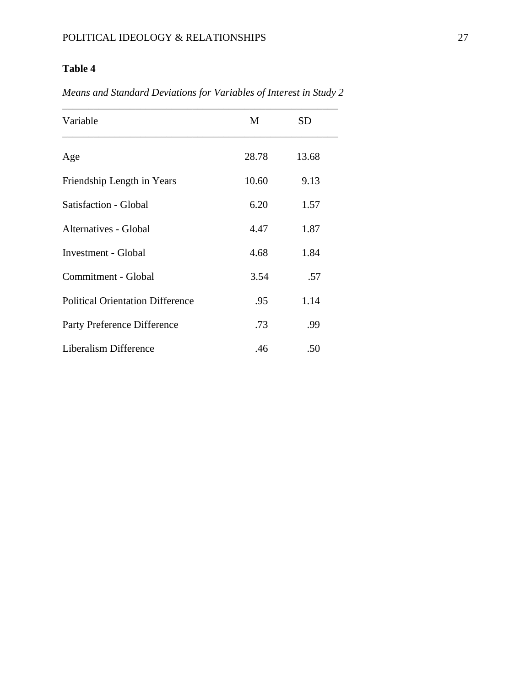# **Table 4**

*Means and Standard Deviations for Variables of Interest in Study 2*

| Variable                                | M     | <b>SD</b> |  |
|-----------------------------------------|-------|-----------|--|
| Age                                     | 28.78 | 13.68     |  |
| Friendship Length in Years              | 10.60 | 9.13      |  |
| Satisfaction - Global                   | 6.20  | 1.57      |  |
| Alternatives - Global                   | 4.47  | 1.87      |  |
| <b>Investment - Global</b>              | 4.68  | 1.84      |  |
| Commitment - Global                     | 3.54  | .57       |  |
| <b>Political Orientation Difference</b> | .95   | 1.14      |  |
| Party Preference Difference             | .73   | .99       |  |
| Liberalism Difference                   | .46   | .50       |  |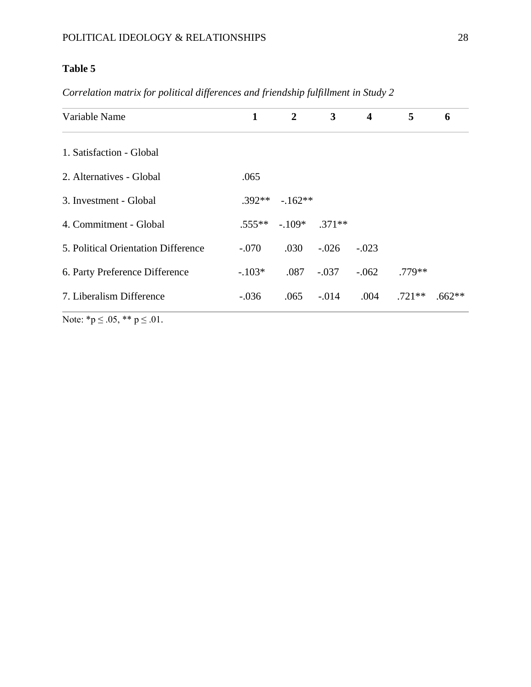# **Table 5**

| Variable Name                       | $\mathbf{1}$ | $\overline{2}$ | 3              | $\overline{\mathbf{4}}$ | 5        | 6        |
|-------------------------------------|--------------|----------------|----------------|-------------------------|----------|----------|
| 1. Satisfaction - Global            |              |                |                |                         |          |          |
| 2. Alternatives - Global            | .065         |                |                |                         |          |          |
| 3. Investment - Global              | $.392**$     | $-162**$       |                |                         |          |          |
| 4. Commitment - Global              | $.555***$    |                | $-109*$ .371** |                         |          |          |
| 5. Political Orientation Difference | $-.070$      | .030           | $-.026$        | $-.023$                 |          |          |
| 6. Party Preference Difference      | $-.103*$     | .087           | $-.037$        | $-.062$                 | $.779**$ |          |
| 7. Liberalism Difference            | $-.036$      |                | $.065 - .014$  | .004                    | $.721**$ | $.662**$ |

*Correlation matrix for political differences and friendship fulfillment in Study 2*

Note:  $*_{p} \leq .05$ ,  $*_{p} \leq .01$ .